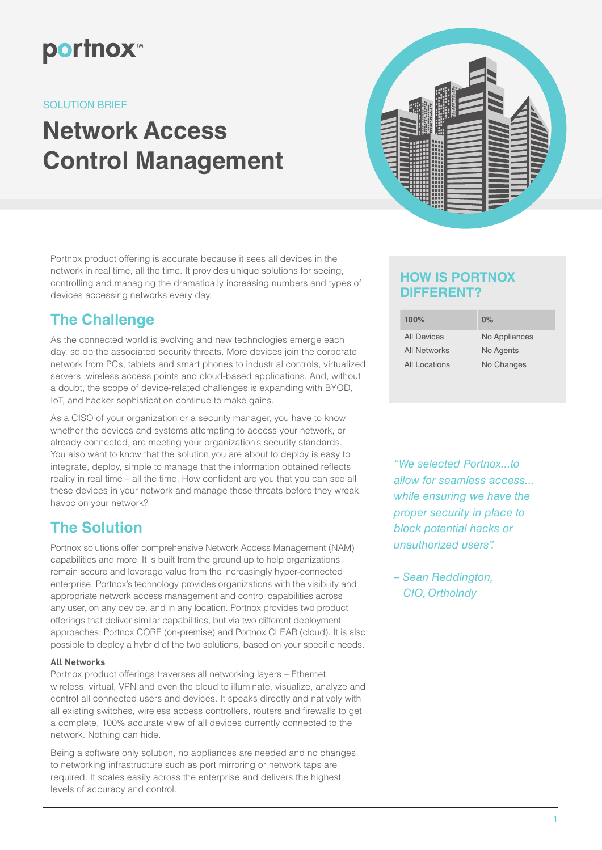

### SOLUTION BRIEF

# **Network Access Control Management**



Portnox product offering is accurate because it sees all devices in the network in real time, all the time. It provides unique solutions for seeing, controlling and managing the dramatically increasing numbers and types of devices accessing networks every day.

# **The Challenge**

As the connected world is evolving and new technologies emerge each day, so do the associated security threats. More devices join the corporate network from PCs, tablets and smart phones to industrial controls, virtualized servers, wireless access points and cloud-based applications. And, without a doubt, the scope of device-related challenges is expanding with BYOD, IoT, and hacker sophistication continue to make gains.

As a CISO of your organization or a security manager, you have to know whether the devices and systems attempting to access your network, or already connected, are meeting your organization's security standards. You also want to know that the solution you are about to deploy is easy to integrate, deploy, simple to manage that the information obtained reflects reality in real time – all the time. How confident are you that you can see all these devices in your network and manage these threats before they wreak havoc on your network?

# **The Solution**

Portnox solutions offer comprehensive Network Access Management (NAM) capabilities and more. It is built from the ground up to help organizations remain secure and leverage value from the increasingly hyper-connected enterprise. Portnox's technology provides organizations with the visibility and appropriate network access management and control capabilities across any user, on any device, and in any location. Portnox provides two product offerings that deliver similar capabilities, but via two different deployment approaches: Portnox CORE (on-premise) and Portnox CLEAR (cloud). It is also possible to deploy a hybrid of the two solutions, based on your specific needs.

### **All Networks**

Portnox product offerings traverses all networking layers – Ethernet, wireless, virtual, VPN and even the cloud to illuminate, visualize, analyze and control all connected users and devices. It speaks directly and natively with all existing switches, wireless access controllers, routers and firewalls to get a complete, 100% accurate view of all devices currently connected to the network. Nothing can hide.

Being a software only solution, no appliances are needed and no changes to networking infrastructure such as port mirroring or network taps are required. It scales easily across the enterprise and delivers the highest levels of accuracy and control.

### **HOW IS PORTNOX DIFFERENT?**

| 100%                | $0\%$         |
|---------------------|---------------|
| <b>All Devices</b>  | No Appliances |
| <b>All Networks</b> | No Agents     |
| All Locations       | No Changes    |

*"We selected Portnox...to allow for seamless access... while ensuring we have the proper security in place to block potential hacks or unauthorized users".*

*– Sean Reddington, CIO, Ortholndy*